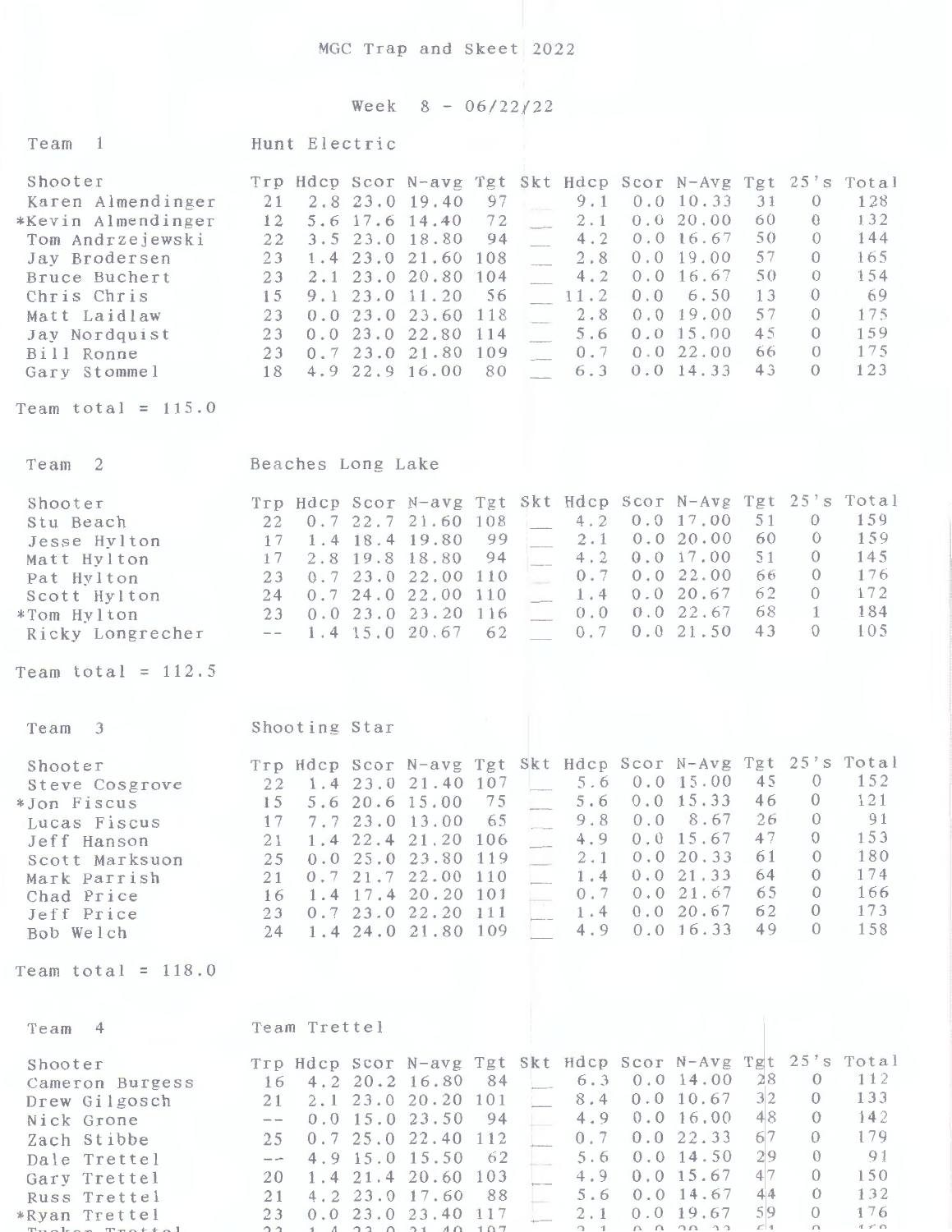## Week 8 - 06/22/22

| Team<br>$\overline{1}$                                                                                                                                                                                         | Hunt Electric                                                                                                                                                                                                                                                                                                                                                                                                                                                                                                                                                                                                                                                                                                                                                                                                                                                                                                                                                                                                                                                      |  |
|----------------------------------------------------------------------------------------------------------------------------------------------------------------------------------------------------------------|--------------------------------------------------------------------------------------------------------------------------------------------------------------------------------------------------------------------------------------------------------------------------------------------------------------------------------------------------------------------------------------------------------------------------------------------------------------------------------------------------------------------------------------------------------------------------------------------------------------------------------------------------------------------------------------------------------------------------------------------------------------------------------------------------------------------------------------------------------------------------------------------------------------------------------------------------------------------------------------------------------------------------------------------------------------------|--|
| Shooter<br>Karen Almendinger<br>*Kevin Almendinger<br>Tom Andrzejewski<br>Jay Brodersen<br>Bruce Buchert<br>Chris Chris<br>Matt Laidlaw<br>Jay Nordquist<br>Bill Ronne<br>Gary Stommel<br>Team total = $115.0$ | Trp Hdcp Scor N-avg Tgt Skt Hdcp Scor N-Avg Tgt 25's Total<br>9.1<br>21<br>2.8 23.0 19.40<br>97<br>0.0 10.33<br>31<br>128<br>$\theta$<br>132<br>0.0 20.00<br>60<br>12<br>5.6 17.6 14.40<br>72<br>2.1<br>$\theta$<br>0.0 16.67<br>50<br>144<br>3.5 23.0 18.80<br>4.2<br>22<br>94<br>$\Omega$<br>57<br>2.8<br>0.019.00<br>165<br>23<br>1.4 23.0 21.60<br>108<br>$\Omega$<br>50<br>0.0 16.67<br>154<br>23<br>2.1 23.0 20.80<br>104<br>4.2<br>$\Omega$<br>11.2<br>13<br>69<br>9.1 23.0 11.20<br>56<br>0.0<br>6.50<br>15<br>$\Omega$<br>57<br>2.8<br>0.019.00<br>175<br>0.023.023.60<br>118<br>23<br>$\Omega$<br>0.0 15.00<br>45<br>159<br>5.6<br>0.023.022.80<br>$\Omega$<br>23<br>114<br>0.022.00<br>175<br>66<br>23 0.7 23.0 21.80 109<br>0.7<br>$\Omega$<br>123<br>4.9 22.9 16.00<br>$0.0$ 14.33<br>43<br>$\Omega$<br>80<br>6.3<br>18                                                                                                                                                                                                                               |  |
| Team <sub>2</sub>                                                                                                                                                                                              | Beaches Long Lake                                                                                                                                                                                                                                                                                                                                                                                                                                                                                                                                                                                                                                                                                                                                                                                                                                                                                                                                                                                                                                                  |  |
| Shooter<br>Stu Beach<br>Jesse Hylton<br>Matt Hylton<br>Pat Hylton<br>Scott Hylton<br>*Tom Hylton<br>Ricky Longrecher<br>Team total = $112.5$                                                                   | Trp Hdcp Scor N-avg Tgt Skt Hdcp Scor N-Avg Tgt 25's Total<br>159<br>0.017.00<br>51<br>0.722.721.60108<br>$\mathbf{L}$<br>4.2<br>$\theta$<br>22<br>159<br>2.1<br>0.0 20.00<br>60<br>$\Omega$<br>1.4 18.4 19.80<br>99<br>17<br>0.017.00<br>51<br>145<br>4.2<br>2.8 19.8 18.80<br>94<br>$\Omega$<br>17<br>176<br>0.022.00<br>66<br>0.7<br>$\Omega$<br>0.723.022.00110<br>23<br>172<br>0.0 20.67<br>62<br>24.0 22.00<br>1.4<br>$\Omega$<br>$24 \quad 0.7$<br>110<br>68<br>184<br>0.022.67<br>$\mathbf{1}$<br>23 0.0 23.0 23.20 116<br>0.0<br>43<br>105<br>0.021.50<br>$\Omega$<br>1.4 15.0 20.67<br>62<br>0.7<br>$-\,-$                                                                                                                                                                                                                                                                                                                                                                                                                                               |  |
|                                                                                                                                                                                                                |                                                                                                                                                                                                                                                                                                                                                                                                                                                                                                                                                                                                                                                                                                                                                                                                                                                                                                                                                                                                                                                                    |  |
| Team 3<br>Shooter<br>Steve Cosgrove<br>*Jon Fiscus<br>Lucas Fiscus<br>Jeff Hanson<br>Scott Marksuon<br>Mark Parrish<br>Chad Price<br>Jeff Price<br>Bob Welch                                                   | Shooting Star<br>Trp Hdcp Scor N-avg Tgt Skt Hdcp Scor N-Avg Tgt 25's Total<br>45<br>$\theta$<br>152<br>$5.6 \t0.0 \t15.00$<br>22 1.4 23.0 21.40 107<br>0.0 15.33<br>46<br>$\theta$<br>121<br>75<br>5.6<br>5.6 20.6 15.00<br>15<br>9.8 0.0 8.67 26<br>91<br>17 7.7 23.0 13.00 65<br>$\overline{0}$<br>153<br>0.0 15.67<br>47<br>$\theta$<br>4.9<br>1.4 22.4 21.20 106<br>21<br>0.0 20.33<br>61<br>180<br>$\overline{0}$<br>2.1<br>0.0 25.0 23.80 119<br>25<br>0.0 21.33<br>174<br>64<br>$\theta$<br>1.4<br>0.721.722.00110<br>21<br>0.021.67<br>65<br>166<br>$\theta$<br>1.4 17.4 20.20 101<br>0.7<br>16<br>po p<br>173<br>0.0 20.67<br>62<br>$\Omega$<br>0.7 23.0 22.20 111<br>1.4<br>23<br>158<br>49<br>u a<br>4.9<br>0.0 16.33<br>$\Omega$<br>1.4 24.0 21.80 109<br>24                                                                                                                                                                                                                                                                                          |  |
| Team total = $118.0$                                                                                                                                                                                           |                                                                                                                                                                                                                                                                                                                                                                                                                                                                                                                                                                                                                                                                                                                                                                                                                                                                                                                                                                                                                                                                    |  |
| Team 4<br>Shooter<br>Cameron Burgess<br>Drew Gilgosch<br>Nick Grone<br>Zach Stibbe<br>Dale Trettel<br>Gary Trettel                                                                                             | Team Trettel<br>Trp Hdcp Scor N-avg Tgt Skt Hdcp Scor N-Avg Tgt 25's Total<br>112<br>28<br>$6.3 \t0.0 \t14.00$<br>$\overline{O}$<br>16 4.2 20.2 16.80 84<br>3 <sub>2</sub><br>133<br>8.4<br>0.0 10.67<br>$\theta$<br>2.1 23.0 20.20 101<br>21<br>48<br>142<br>4.9<br>0.0 16.00<br>$\Omega$<br>$0.0$ 15.0 23.50<br>94<br>$\sim$ $-$<br>67<br>179<br>$\Omega$<br>0.7<br>0.022.33<br>0.725.022.40<br>112<br>25<br>91<br>$0.0$ 14.50<br>29<br>$\Omega$<br>62<br>5.6<br>4.9 15.0 15.50<br>$\frac{1}{2} \left( \frac{1}{2} \right) \left( \frac{1}{2} \right) \left( \frac{1}{2} \right) \left( \frac{1}{2} \right) \left( \frac{1}{2} \right) \left( \frac{1}{2} \right) \left( \frac{1}{2} \right) \left( \frac{1}{2} \right) \left( \frac{1}{2} \right) \left( \frac{1}{2} \right) \left( \frac{1}{2} \right) \left( \frac{1}{2} \right) \left( \frac{1}{2} \right) \left( \frac{1}{2} \right) \left( \frac{1}{2} \right) \left( \frac{1}{2} \right) \left( \frac$<br>47<br>150<br>0.015.67<br>$\Omega$<br>4.9<br>1.4 21.4 20.60<br>103<br>20<br>44<br>$\circ$<br>132 |  |
| Russ Trettel<br>*Ryan Trettel                                                                                                                                                                                  | $0.0$ 14.67<br>5.6<br>4.2 23.0 17.60<br>88<br>21<br>59<br>176<br>0.019.67<br>$\Omega$<br>0.023.023.40117<br>2.1<br>23                                                                                                                                                                                                                                                                                                                                                                                                                                                                                                                                                                                                                                                                                                                                                                                                                                                                                                                                              |  |

The Prettel 22 1 4 23 0 21 40 107 2 1 0 0 20 22 41 0 100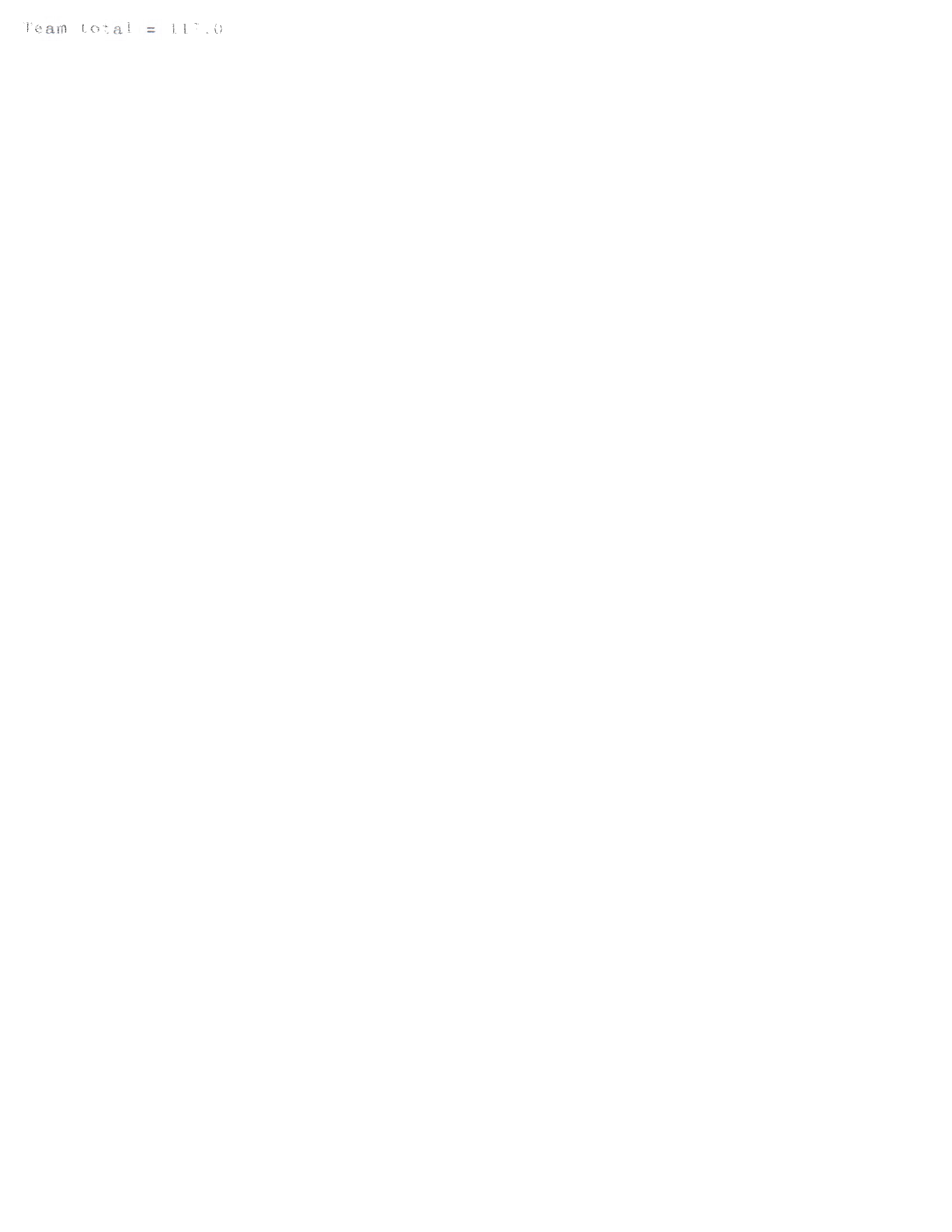Team total =  $11^{\circ}$ .0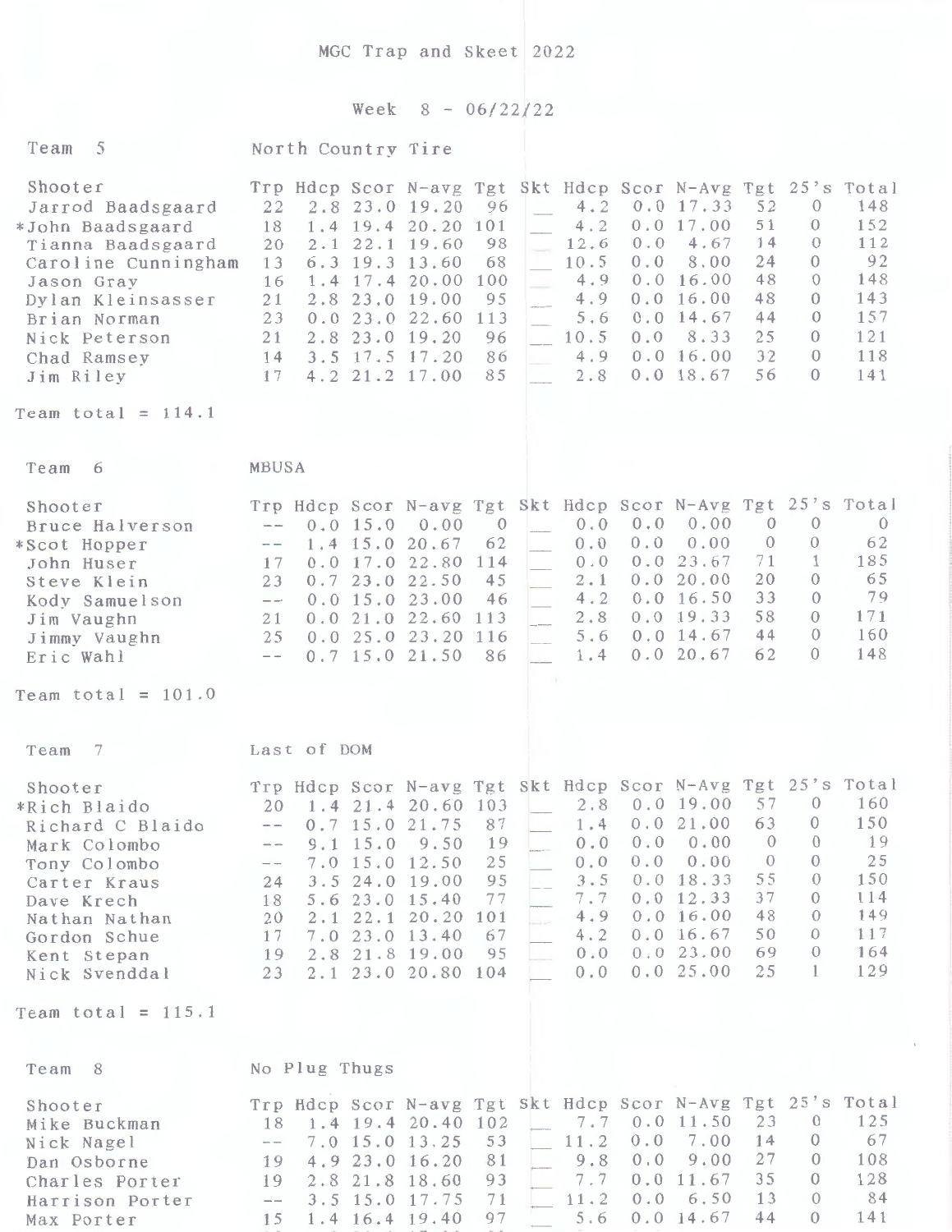## Week  $8 - 06/22/22$

| Team 5                                                                                                                                                                                                               | North Country Tire                                                                                                                                                                                                                   |                                                                                                               |                                                                       |                                                                                                                                         |                                                                                                                                                                                                                                                                                                                                              |
|----------------------------------------------------------------------------------------------------------------------------------------------------------------------------------------------------------------------|--------------------------------------------------------------------------------------------------------------------------------------------------------------------------------------------------------------------------------------|---------------------------------------------------------------------------------------------------------------|-----------------------------------------------------------------------|-----------------------------------------------------------------------------------------------------------------------------------------|----------------------------------------------------------------------------------------------------------------------------------------------------------------------------------------------------------------------------------------------------------------------------------------------------------------------------------------------|
| Shooter<br>Jarrod Baadsgaard<br>*John Baadsgaard<br>Tianna Baadsgaard<br>Caroline Cunningham<br>Jason Gray<br>Dylan Kleinsasser<br>Brian Norman<br>Nick Peterson<br>Chad Ramsey<br>Jim Riley<br>Team total = $114.1$ | 2.8 23.0 19.20<br>22<br>18<br>$1.4$ 19.4 20.20<br>2.1<br>20<br>6.3 19.3 13.60<br>13<br>$1.4$ 17.4 20.00<br>16<br>21<br>2.8 23.0 19.00<br>0.023.022.60<br>23<br>2.8<br>21<br>3.5 17.5 17.20<br>14<br>4.2 21.2 17.00<br>17             | 96<br>101<br>22.1 19.60<br>98<br>68<br>100<br>95<br>113<br>23.0 19.20<br>96<br>86<br>85                       | 4.2<br>4.2<br>12.6<br>10.5<br>4.9<br>4.9<br>5.6<br>10.5<br>4.9<br>2.8 | 0.0 17.33<br>0.017.00<br>0.0<br>4.67<br>0.0<br>8.00<br>0.0 16.00<br>0.0 16.00<br>$0.0$ 14.67<br>0.0<br>8.33<br>0.0 16.00<br>$0.0$ 18.67 | Trp Hdcp Scor N-avg Tgt Skt Hdcp Scor N-Avg Tgt 25's Total<br>52<br>148<br>$\theta$<br>152<br>51<br>$\Omega$<br>112<br>14<br>$\Omega$<br>92<br>24<br>$\theta$<br>48<br>148<br>$\theta$<br>48<br>143<br>$\theta$<br>44<br>157<br>$\left( \right)$<br>25<br>121<br>$\left( \right)$<br>32<br>118<br>$\Omega$<br>56<br>141<br>$\theta$          |
|                                                                                                                                                                                                                      |                                                                                                                                                                                                                                      |                                                                                                               |                                                                       |                                                                                                                                         |                                                                                                                                                                                                                                                                                                                                              |
| Team 6                                                                                                                                                                                                               | MBUSA                                                                                                                                                                                                                                |                                                                                                               |                                                                       |                                                                                                                                         |                                                                                                                                                                                                                                                                                                                                              |
| Shooter<br>Bruce Halverson<br>*Scot Hopper<br>John Huser<br>Steve Klein<br>Kody Samuelson<br>Jim Vaughn<br>Jimmy Vaughn<br>Eric Wahl                                                                                 | 0.0 15.0<br>$\sim$<br>1.4 15.0 20.67<br>$-\,-$<br>0.017.022.80<br>17<br>0.723.022.50<br>23<br>$0.0$ 15.0 23.00<br>$-\,-$<br>0.021.022.60<br>21<br>25<br>$0.7$ 15.0 21.50<br>$- -$                                                    | 0.00<br>$\overline{0}$<br>62<br>114<br>45<br>46<br>113<br>0.0 25.0 23.20 116<br>86                            | 0.0<br>0.0<br>0.0<br>2.1<br>4.2<br>2.8<br>5.6<br>1.4                  | 0.00<br>0.0<br>0.0<br>0.00<br>23.67<br>0.0<br>0.0 20.00<br>0.0 16.50<br>0.019.33<br>$0.0$ 14.67<br>0.0 20.67                            | Trp Hdcp Scor N-avg Tgt Skt Hdcp Scor N-Avg Tgt 25's Total<br>$\theta$<br>$\theta$<br>$\theta$<br>$\theta$<br>62<br>$\theta$<br>$\mathbf{1}$<br>185<br>71<br>20<br>65<br>$\Omega$<br>33<br>79<br>$\Omega$<br>58<br>171<br>$\theta$<br>44<br>160<br>$\Omega$<br>148<br>62<br>$\Omega$                                                         |
| Team total = $101.0$                                                                                                                                                                                                 |                                                                                                                                                                                                                                      |                                                                                                               |                                                                       |                                                                                                                                         |                                                                                                                                                                                                                                                                                                                                              |
| -7<br>Team                                                                                                                                                                                                           | Last of DOM                                                                                                                                                                                                                          |                                                                                                               |                                                                       |                                                                                                                                         |                                                                                                                                                                                                                                                                                                                                              |
| Shooter<br>*Rich Blaido<br>Richard C Blaido<br>Mark Colombo<br>Tony Colombo<br>Carter Kraus<br>Dave Krech<br>Nathan Nathan<br>Gordon Schue<br>Kent Stepan<br>Nick Svenddal<br>Team total = $115.1$                   | 20<br>0.7 15.0 21.75<br>$\overline{\phantom{a}}$<br>$9.1$ 15.0<br>$7.0$ 15.0<br>--<br>3.5<br>24.0<br>24<br>5.6 23.0 15.40<br>18<br>20<br>$2 \cdot 1$<br>22.1<br>7.0 23.0 13.40<br>17<br>2.8 21.8 19.00<br>19<br>2.1 23.0 20.80<br>23 | 1.4 21.4 20.60 103<br>87<br>9.50<br>19<br>25<br>12.50<br>95<br>19.00<br>77<br>101<br>20.20<br>67<br>95<br>104 | 1.4<br>0.0<br>$0.0$<br>3.5<br>7.7<br>4.9<br>4.2<br>0.0<br>$0.0$       | 2.8 0.0 19.00<br>0.021.00<br>0.00<br>0.0<br>0.00<br>0.0<br>0.0 18.33<br>0.0 12.33<br>0.0 16.00<br>0.0 16.67<br>0.023.00<br>0.025.00     | Trp Hdcp Scor N-avg Tgt Skt Hdcp Scor N-Avg Tgt 25's Total<br>57<br>$\theta$<br>160<br>63<br>150<br>$\overline{0}$<br>19<br>$\theta$<br>$\theta$<br>25<br>$\mathbf{0}$<br>$\theta$<br>55<br>$\theta$<br>150<br>37<br>114<br>$\theta$<br>48<br>149<br>$\theta$<br>117<br>50<br>$\Omega$<br>69<br>164<br>$\theta$<br>129<br>25<br>$\mathbf{1}$ |
|                                                                                                                                                                                                                      |                                                                                                                                                                                                                                      |                                                                                                               |                                                                       |                                                                                                                                         |                                                                                                                                                                                                                                                                                                                                              |
| Team 8<br>Shooter<br>Mike Buckman<br>Nick Nagel<br>Dan Osborne<br>Charles Porter<br>Harrison Porter<br>Max Porter                                                                                                    | No Plug Thugs<br>18<br>7.0 15.0 13.25<br>$\overline{\phantom{m}}$<br>4.9 23.0 16.20<br>19<br>2.8 21.8 18.60<br>19<br>3.5 15.0 17.75<br>$ -$<br>1.4 16.4 19.40<br>15                                                                  | 1.4 19.4 20.40 102<br>53<br>81<br>93<br>71<br>97                                                              | 7.7<br>11.2<br>9.8<br>7.7<br>11.2<br>5.6                              | 0.011.50<br>$0.0$<br>7.00<br>9.00<br>0.0<br>11.67<br>0.0<br>6.50<br>0.0<br>0.014.67                                                     | Trp Hdcp Scor N-avg Tgt Skt Hdcp Scor N-Avg Tgt 25's Total<br>125<br>23<br>$\theta$<br>67<br>14<br>$\mathbf{0}$<br>27<br>$\theta$<br>108<br>35<br>128<br>0<br>84<br>13<br>$\theta$<br>141<br>44<br>$\theta$                                                                                                                                  |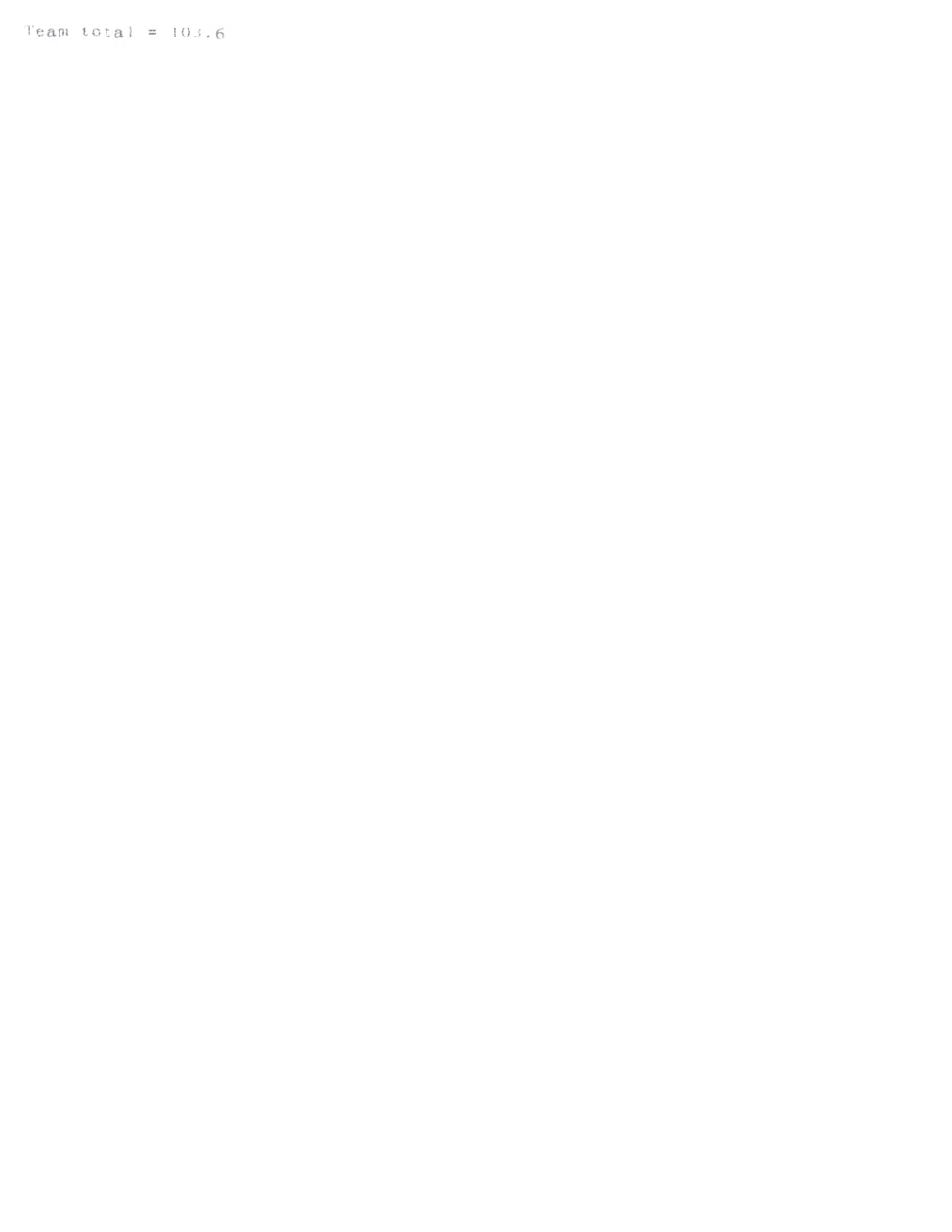Team total =  $103.6$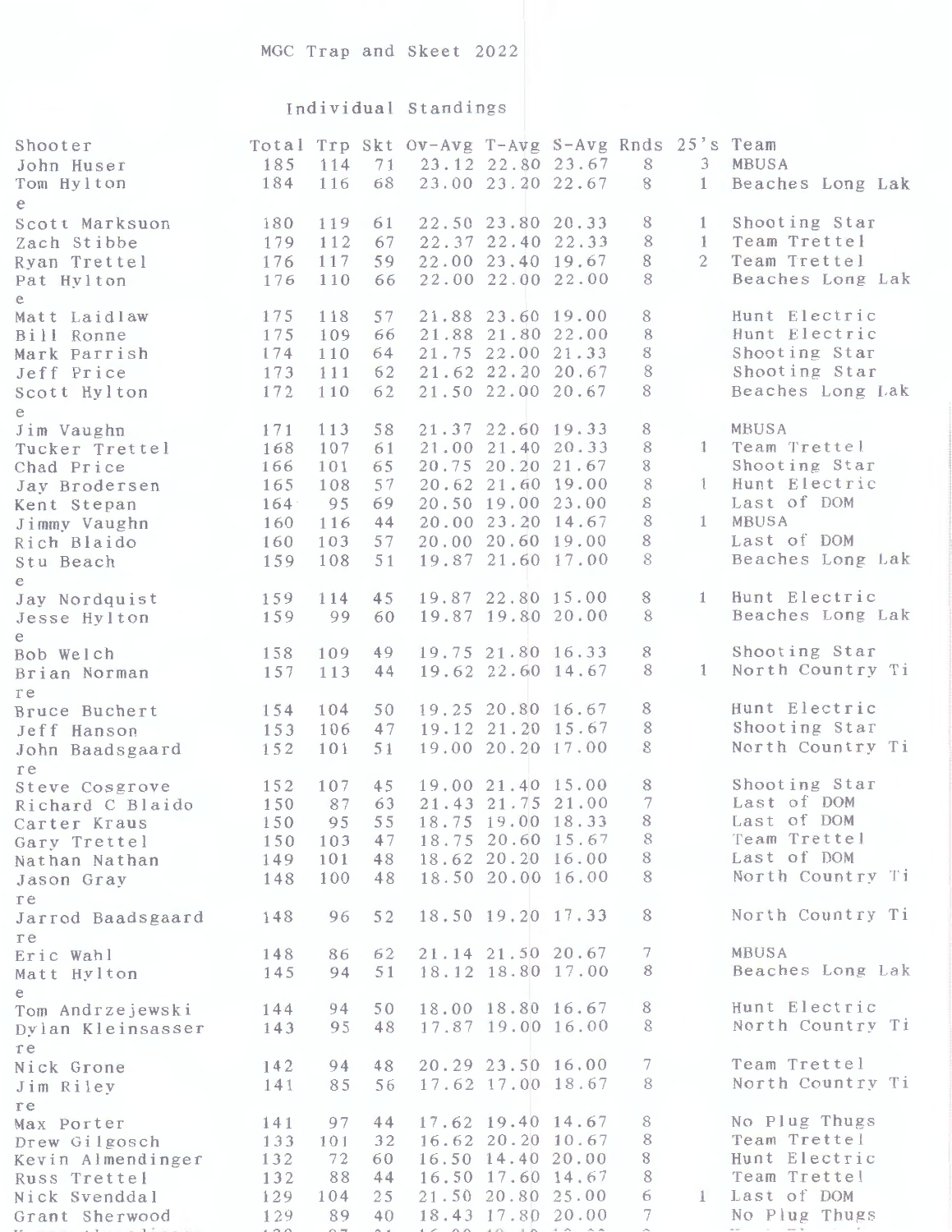## Individual Standings

| e.<br>Shooting Star<br>22.50 23.80 20.33<br>8<br>180<br>119<br>61<br>$\mathbf{1}$<br>Scott Marksuon<br>Team Trettel<br>22.37 22.40 22.33<br>8<br>$\mathbf{1}$<br>179<br>112<br>67<br>Zach Stibbe<br>$\mathbf{2}$<br>Team Trettel<br>8<br>59<br>22.00 23.40 19.67<br>176<br>117<br>Ryan Trettel<br>Beaches Long Lak<br>22.00 22.00 22.00<br>8<br>110<br>66<br>176<br>Pat Hylton<br>e<br>Hunt Electric<br>8<br>57<br>21.88 23.60 19.00<br>175<br>118<br>Matt Laidlaw<br>8<br>Hunt Electric<br>21.88 21.80 22.00<br>175<br>109<br>66<br>Bill Ronne<br>Shooting Star<br>21.75 22.00 21.33<br>8<br>110<br>64<br>174<br>Mark Parrish<br>8<br>Shooting Star<br>21.62 22.20 20.67<br>111<br>62<br>173<br>Jeff Price<br>Beaches Long Lak<br>21.50 22.00 20.67<br>8<br>172<br>110<br>62<br>Scott Hylton<br>e<br>MBUSA<br>21.37 22.60 19.33<br>8<br>113<br>58<br>171<br>Jim Vaughn<br>Team Trettel<br>21.00 21.40 20.33<br>8<br>$\mathbf{1}$<br>168<br>107<br>61<br>Tucker Trettel<br>Shooting Star<br>20.75 20.20 21.67<br>8<br>101<br>65<br>166<br>Chad Price<br>Hunt Electric<br>8<br>57<br>20.62 21.60 19.00<br>$\mathbf{1}$<br>165<br>108<br>Jay Brodersen<br>Last of DOM<br>20.50 19.00 23.00<br>8<br>95<br>69<br>164<br>Kent Stepan<br>8<br>MBUSA<br>20.00 23.20 14.67<br>1<br>116<br>44<br>160<br>Jimmy Vaughn<br>Last of DOM<br>20.00 20.60 19.00<br>8<br>57<br>160<br>103<br>Rich Blaido<br>8<br>Beaches Long Lak<br>19.87 21.60 17.00<br>108<br>51<br>159<br>Stu Beach<br>e<br>Hunt Electric<br>19.87 22.80 15.00<br>8<br>1<br>45<br>159<br>114<br>Jay Nordquist<br>Beaches Long Lak<br>8<br>19.87 19.80 20.00<br>60<br>159<br>99<br>Jesse Hylton<br>e<br>Shooting Star<br>19.75 21.80 16.33<br>8<br>109<br>49<br>158<br>Bob Welch<br>North Country Ti<br>8<br>19.62 22.60 14.67<br>$\mathbf{1}$<br>113<br>157<br>44<br>Brian Norman<br>re<br>Hunt Electric<br>8<br>19.25 20.80 16.67<br>154<br>104<br>50<br>Bruce Buchert<br>$\,$ 8 $\,$<br>Shooting Star<br>19.12 21.20 15.67<br>153<br>47<br>106<br>Jeff Hanson<br>North Country Ti<br>8<br>19.00 20.20 17.00<br>152<br>101<br>51<br>John Baadsgaard<br>re<br>Shooting Star<br>19.00 21.40 15.00<br>8<br>107<br>45<br>152<br>Steve Cosgrove<br>$\boldsymbol{7}$<br>Last of DOM<br>21.43 21.75 21.00<br>87<br>150<br>63<br>Richard C Blaido<br>8<br>Last of DOM<br>18.75 19.00 18.33<br>95<br>55<br>150<br>Carter Kraus<br>Team Trettel<br>18.75 20.60 15.67<br>8<br>150<br>103<br>47<br>Gary Trettel<br>Last of DOM<br>18.62 20.20 16.00<br>8<br>149<br>101<br>48<br>Nathan Nathan<br>North Country Ti<br>8<br>18.50 20.00 16.00<br>148<br>100<br>48<br>Jason Gray<br>re<br>North Country Ti<br>8<br>18.50 19.20 17.33<br>96<br>52<br>148<br>Jarrod Baadsgaard<br>re<br>MBUSA<br>7<br>21.14 21.50 20.67<br>148<br>86<br>62<br>Eric Wahl<br>Beaches Long Lak<br>18.12 18.80 17.00<br>8<br>94<br>51<br>145<br>Matt Hylton<br>е<br>Hunt Electric<br>18.00 18.80 16.67<br>8<br>144<br>94<br>50<br>Tom Andrzejewski<br>North Country Ti<br>8<br>17.87 19.00 16.00<br>95<br>48<br>143<br>Dylan Kleinsasser<br>re<br>Team Trettel<br>7<br>20.29 23.50 16.00<br>48<br>142<br>94<br>Nick Grone<br>North Country Ti<br>8<br>17.62 17.00 18.67<br>56<br>141<br>85<br>Jim Riley<br>re<br>No Plug Thugs<br>8<br>17.62 19.40 14.67<br>44<br>97<br>141<br>Max Porter<br>Team Trettel<br>8<br>16.62 20.20 10.67<br>133<br>32<br>101<br>Drew Gilgosch<br>$\,$ $\,$<br>Hunt Electric<br>16.50 14.40 20.00<br>132<br>72<br>60<br>Kevin Almendinger<br>8<br>Team Trettel<br>16.50 17.60 14.67<br>88<br>132<br>44<br>Russ Trettel<br>Last of DOM<br>6<br>21.50 20.80 25.00<br>129<br>104<br>25<br>$\mathbf{I}$<br>Nick Svenddal | Shooter<br>John Huser<br>Tom Hylton | 185<br>184 | 114<br>116 | 71<br>68 | Total Trp Skt Ov-Avg T-Avg S-Avg Rnds 25's Team | 23.12 22.80 23.67<br>23.00 23.20 22.67 | S<br>8 | 3<br>$\mathbf{1}$ | MBUSA<br>Beaches Long Lak |
|---------------------------------------------------------------------------------------------------------------------------------------------------------------------------------------------------------------------------------------------------------------------------------------------------------------------------------------------------------------------------------------------------------------------------------------------------------------------------------------------------------------------------------------------------------------------------------------------------------------------------------------------------------------------------------------------------------------------------------------------------------------------------------------------------------------------------------------------------------------------------------------------------------------------------------------------------------------------------------------------------------------------------------------------------------------------------------------------------------------------------------------------------------------------------------------------------------------------------------------------------------------------------------------------------------------------------------------------------------------------------------------------------------------------------------------------------------------------------------------------------------------------------------------------------------------------------------------------------------------------------------------------------------------------------------------------------------------------------------------------------------------------------------------------------------------------------------------------------------------------------------------------------------------------------------------------------------------------------------------------------------------------------------------------------------------------------------------------------------------------------------------------------------------------------------------------------------------------------------------------------------------------------------------------------------------------------------------------------------------------------------------------------------------------------------------------------------------------------------------------------------------------------------------------------------------------------------------------------------------------------------------------------------------------------------------------------------------------------------------------------------------------------------------------------------------------------------------------------------------------------------------------------------------------------------------------------------------------------------------------------------------------------------------------------------------------------------------------------------------------------------------------------------------------------------------------------------------------------------------------------------------------------------------------------------------------------------------------------------------------------------------------------------------------------------------------------------------------------------------------------------------------------------------------------------------------------------------------------------------------------------------------------------------|-------------------------------------|------------|------------|----------|-------------------------------------------------|----------------------------------------|--------|-------------------|---------------------------|
|                                                                                                                                                                                                                                                                                                                                                                                                                                                                                                                                                                                                                                                                                                                                                                                                                                                                                                                                                                                                                                                                                                                                                                                                                                                                                                                                                                                                                                                                                                                                                                                                                                                                                                                                                                                                                                                                                                                                                                                                                                                                                                                                                                                                                                                                                                                                                                                                                                                                                                                                                                                                                                                                                                                                                                                                                                                                                                                                                                                                                                                                                                                                                                                                                                                                                                                                                                                                                                                                                                                                                                                                                                                               |                                     |            |            |          |                                                 |                                        |        |                   |                           |
|                                                                                                                                                                                                                                                                                                                                                                                                                                                                                                                                                                                                                                                                                                                                                                                                                                                                                                                                                                                                                                                                                                                                                                                                                                                                                                                                                                                                                                                                                                                                                                                                                                                                                                                                                                                                                                                                                                                                                                                                                                                                                                                                                                                                                                                                                                                                                                                                                                                                                                                                                                                                                                                                                                                                                                                                                                                                                                                                                                                                                                                                                                                                                                                                                                                                                                                                                                                                                                                                                                                                                                                                                                                               |                                     |            |            |          |                                                 |                                        |        |                   |                           |
|                                                                                                                                                                                                                                                                                                                                                                                                                                                                                                                                                                                                                                                                                                                                                                                                                                                                                                                                                                                                                                                                                                                                                                                                                                                                                                                                                                                                                                                                                                                                                                                                                                                                                                                                                                                                                                                                                                                                                                                                                                                                                                                                                                                                                                                                                                                                                                                                                                                                                                                                                                                                                                                                                                                                                                                                                                                                                                                                                                                                                                                                                                                                                                                                                                                                                                                                                                                                                                                                                                                                                                                                                                                               |                                     |            |            |          |                                                 |                                        |        |                   |                           |
|                                                                                                                                                                                                                                                                                                                                                                                                                                                                                                                                                                                                                                                                                                                                                                                                                                                                                                                                                                                                                                                                                                                                                                                                                                                                                                                                                                                                                                                                                                                                                                                                                                                                                                                                                                                                                                                                                                                                                                                                                                                                                                                                                                                                                                                                                                                                                                                                                                                                                                                                                                                                                                                                                                                                                                                                                                                                                                                                                                                                                                                                                                                                                                                                                                                                                                                                                                                                                                                                                                                                                                                                                                                               |                                     |            |            |          |                                                 |                                        |        |                   |                           |
|                                                                                                                                                                                                                                                                                                                                                                                                                                                                                                                                                                                                                                                                                                                                                                                                                                                                                                                                                                                                                                                                                                                                                                                                                                                                                                                                                                                                                                                                                                                                                                                                                                                                                                                                                                                                                                                                                                                                                                                                                                                                                                                                                                                                                                                                                                                                                                                                                                                                                                                                                                                                                                                                                                                                                                                                                                                                                                                                                                                                                                                                                                                                                                                                                                                                                                                                                                                                                                                                                                                                                                                                                                                               |                                     |            |            |          |                                                 |                                        |        |                   |                           |
|                                                                                                                                                                                                                                                                                                                                                                                                                                                                                                                                                                                                                                                                                                                                                                                                                                                                                                                                                                                                                                                                                                                                                                                                                                                                                                                                                                                                                                                                                                                                                                                                                                                                                                                                                                                                                                                                                                                                                                                                                                                                                                                                                                                                                                                                                                                                                                                                                                                                                                                                                                                                                                                                                                                                                                                                                                                                                                                                                                                                                                                                                                                                                                                                                                                                                                                                                                                                                                                                                                                                                                                                                                                               |                                     |            |            |          |                                                 |                                        |        |                   |                           |
|                                                                                                                                                                                                                                                                                                                                                                                                                                                                                                                                                                                                                                                                                                                                                                                                                                                                                                                                                                                                                                                                                                                                                                                                                                                                                                                                                                                                                                                                                                                                                                                                                                                                                                                                                                                                                                                                                                                                                                                                                                                                                                                                                                                                                                                                                                                                                                                                                                                                                                                                                                                                                                                                                                                                                                                                                                                                                                                                                                                                                                                                                                                                                                                                                                                                                                                                                                                                                                                                                                                                                                                                                                                               |                                     |            |            |          |                                                 |                                        |        |                   |                           |
|                                                                                                                                                                                                                                                                                                                                                                                                                                                                                                                                                                                                                                                                                                                                                                                                                                                                                                                                                                                                                                                                                                                                                                                                                                                                                                                                                                                                                                                                                                                                                                                                                                                                                                                                                                                                                                                                                                                                                                                                                                                                                                                                                                                                                                                                                                                                                                                                                                                                                                                                                                                                                                                                                                                                                                                                                                                                                                                                                                                                                                                                                                                                                                                                                                                                                                                                                                                                                                                                                                                                                                                                                                                               |                                     |            |            |          |                                                 |                                        |        |                   |                           |
|                                                                                                                                                                                                                                                                                                                                                                                                                                                                                                                                                                                                                                                                                                                                                                                                                                                                                                                                                                                                                                                                                                                                                                                                                                                                                                                                                                                                                                                                                                                                                                                                                                                                                                                                                                                                                                                                                                                                                                                                                                                                                                                                                                                                                                                                                                                                                                                                                                                                                                                                                                                                                                                                                                                                                                                                                                                                                                                                                                                                                                                                                                                                                                                                                                                                                                                                                                                                                                                                                                                                                                                                                                                               |                                     |            |            |          |                                                 |                                        |        |                   |                           |
|                                                                                                                                                                                                                                                                                                                                                                                                                                                                                                                                                                                                                                                                                                                                                                                                                                                                                                                                                                                                                                                                                                                                                                                                                                                                                                                                                                                                                                                                                                                                                                                                                                                                                                                                                                                                                                                                                                                                                                                                                                                                                                                                                                                                                                                                                                                                                                                                                                                                                                                                                                                                                                                                                                                                                                                                                                                                                                                                                                                                                                                                                                                                                                                                                                                                                                                                                                                                                                                                                                                                                                                                                                                               |                                     |            |            |          |                                                 |                                        |        |                   |                           |
|                                                                                                                                                                                                                                                                                                                                                                                                                                                                                                                                                                                                                                                                                                                                                                                                                                                                                                                                                                                                                                                                                                                                                                                                                                                                                                                                                                                                                                                                                                                                                                                                                                                                                                                                                                                                                                                                                                                                                                                                                                                                                                                                                                                                                                                                                                                                                                                                                                                                                                                                                                                                                                                                                                                                                                                                                                                                                                                                                                                                                                                                                                                                                                                                                                                                                                                                                                                                                                                                                                                                                                                                                                                               |                                     |            |            |          |                                                 |                                        |        |                   |                           |
|                                                                                                                                                                                                                                                                                                                                                                                                                                                                                                                                                                                                                                                                                                                                                                                                                                                                                                                                                                                                                                                                                                                                                                                                                                                                                                                                                                                                                                                                                                                                                                                                                                                                                                                                                                                                                                                                                                                                                                                                                                                                                                                                                                                                                                                                                                                                                                                                                                                                                                                                                                                                                                                                                                                                                                                                                                                                                                                                                                                                                                                                                                                                                                                                                                                                                                                                                                                                                                                                                                                                                                                                                                                               |                                     |            |            |          |                                                 |                                        |        |                   |                           |
|                                                                                                                                                                                                                                                                                                                                                                                                                                                                                                                                                                                                                                                                                                                                                                                                                                                                                                                                                                                                                                                                                                                                                                                                                                                                                                                                                                                                                                                                                                                                                                                                                                                                                                                                                                                                                                                                                                                                                                                                                                                                                                                                                                                                                                                                                                                                                                                                                                                                                                                                                                                                                                                                                                                                                                                                                                                                                                                                                                                                                                                                                                                                                                                                                                                                                                                                                                                                                                                                                                                                                                                                                                                               |                                     |            |            |          |                                                 |                                        |        |                   |                           |
|                                                                                                                                                                                                                                                                                                                                                                                                                                                                                                                                                                                                                                                                                                                                                                                                                                                                                                                                                                                                                                                                                                                                                                                                                                                                                                                                                                                                                                                                                                                                                                                                                                                                                                                                                                                                                                                                                                                                                                                                                                                                                                                                                                                                                                                                                                                                                                                                                                                                                                                                                                                                                                                                                                                                                                                                                                                                                                                                                                                                                                                                                                                                                                                                                                                                                                                                                                                                                                                                                                                                                                                                                                                               |                                     |            |            |          |                                                 |                                        |        |                   |                           |
|                                                                                                                                                                                                                                                                                                                                                                                                                                                                                                                                                                                                                                                                                                                                                                                                                                                                                                                                                                                                                                                                                                                                                                                                                                                                                                                                                                                                                                                                                                                                                                                                                                                                                                                                                                                                                                                                                                                                                                                                                                                                                                                                                                                                                                                                                                                                                                                                                                                                                                                                                                                                                                                                                                                                                                                                                                                                                                                                                                                                                                                                                                                                                                                                                                                                                                                                                                                                                                                                                                                                                                                                                                                               |                                     |            |            |          |                                                 |                                        |        |                   |                           |
|                                                                                                                                                                                                                                                                                                                                                                                                                                                                                                                                                                                                                                                                                                                                                                                                                                                                                                                                                                                                                                                                                                                                                                                                                                                                                                                                                                                                                                                                                                                                                                                                                                                                                                                                                                                                                                                                                                                                                                                                                                                                                                                                                                                                                                                                                                                                                                                                                                                                                                                                                                                                                                                                                                                                                                                                                                                                                                                                                                                                                                                                                                                                                                                                                                                                                                                                                                                                                                                                                                                                                                                                                                                               |                                     |            |            |          |                                                 |                                        |        |                   |                           |
|                                                                                                                                                                                                                                                                                                                                                                                                                                                                                                                                                                                                                                                                                                                                                                                                                                                                                                                                                                                                                                                                                                                                                                                                                                                                                                                                                                                                                                                                                                                                                                                                                                                                                                                                                                                                                                                                                                                                                                                                                                                                                                                                                                                                                                                                                                                                                                                                                                                                                                                                                                                                                                                                                                                                                                                                                                                                                                                                                                                                                                                                                                                                                                                                                                                                                                                                                                                                                                                                                                                                                                                                                                                               |                                     |            |            |          |                                                 |                                        |        |                   |                           |
|                                                                                                                                                                                                                                                                                                                                                                                                                                                                                                                                                                                                                                                                                                                                                                                                                                                                                                                                                                                                                                                                                                                                                                                                                                                                                                                                                                                                                                                                                                                                                                                                                                                                                                                                                                                                                                                                                                                                                                                                                                                                                                                                                                                                                                                                                                                                                                                                                                                                                                                                                                                                                                                                                                                                                                                                                                                                                                                                                                                                                                                                                                                                                                                                                                                                                                                                                                                                                                                                                                                                                                                                                                                               |                                     |            |            |          |                                                 |                                        |        |                   |                           |
|                                                                                                                                                                                                                                                                                                                                                                                                                                                                                                                                                                                                                                                                                                                                                                                                                                                                                                                                                                                                                                                                                                                                                                                                                                                                                                                                                                                                                                                                                                                                                                                                                                                                                                                                                                                                                                                                                                                                                                                                                                                                                                                                                                                                                                                                                                                                                                                                                                                                                                                                                                                                                                                                                                                                                                                                                                                                                                                                                                                                                                                                                                                                                                                                                                                                                                                                                                                                                                                                                                                                                                                                                                                               |                                     |            |            |          |                                                 |                                        |        |                   |                           |
|                                                                                                                                                                                                                                                                                                                                                                                                                                                                                                                                                                                                                                                                                                                                                                                                                                                                                                                                                                                                                                                                                                                                                                                                                                                                                                                                                                                                                                                                                                                                                                                                                                                                                                                                                                                                                                                                                                                                                                                                                                                                                                                                                                                                                                                                                                                                                                                                                                                                                                                                                                                                                                                                                                                                                                                                                                                                                                                                                                                                                                                                                                                                                                                                                                                                                                                                                                                                                                                                                                                                                                                                                                                               |                                     |            |            |          |                                                 |                                        |        |                   |                           |
|                                                                                                                                                                                                                                                                                                                                                                                                                                                                                                                                                                                                                                                                                                                                                                                                                                                                                                                                                                                                                                                                                                                                                                                                                                                                                                                                                                                                                                                                                                                                                                                                                                                                                                                                                                                                                                                                                                                                                                                                                                                                                                                                                                                                                                                                                                                                                                                                                                                                                                                                                                                                                                                                                                                                                                                                                                                                                                                                                                                                                                                                                                                                                                                                                                                                                                                                                                                                                                                                                                                                                                                                                                                               |                                     |            |            |          |                                                 |                                        |        |                   |                           |
|                                                                                                                                                                                                                                                                                                                                                                                                                                                                                                                                                                                                                                                                                                                                                                                                                                                                                                                                                                                                                                                                                                                                                                                                                                                                                                                                                                                                                                                                                                                                                                                                                                                                                                                                                                                                                                                                                                                                                                                                                                                                                                                                                                                                                                                                                                                                                                                                                                                                                                                                                                                                                                                                                                                                                                                                                                                                                                                                                                                                                                                                                                                                                                                                                                                                                                                                                                                                                                                                                                                                                                                                                                                               |                                     |            |            |          |                                                 |                                        |        |                   |                           |
|                                                                                                                                                                                                                                                                                                                                                                                                                                                                                                                                                                                                                                                                                                                                                                                                                                                                                                                                                                                                                                                                                                                                                                                                                                                                                                                                                                                                                                                                                                                                                                                                                                                                                                                                                                                                                                                                                                                                                                                                                                                                                                                                                                                                                                                                                                                                                                                                                                                                                                                                                                                                                                                                                                                                                                                                                                                                                                                                                                                                                                                                                                                                                                                                                                                                                                                                                                                                                                                                                                                                                                                                                                                               |                                     |            |            |          |                                                 |                                        |        |                   |                           |
|                                                                                                                                                                                                                                                                                                                                                                                                                                                                                                                                                                                                                                                                                                                                                                                                                                                                                                                                                                                                                                                                                                                                                                                                                                                                                                                                                                                                                                                                                                                                                                                                                                                                                                                                                                                                                                                                                                                                                                                                                                                                                                                                                                                                                                                                                                                                                                                                                                                                                                                                                                                                                                                                                                                                                                                                                                                                                                                                                                                                                                                                                                                                                                                                                                                                                                                                                                                                                                                                                                                                                                                                                                                               |                                     |            |            |          |                                                 |                                        |        |                   |                           |
|                                                                                                                                                                                                                                                                                                                                                                                                                                                                                                                                                                                                                                                                                                                                                                                                                                                                                                                                                                                                                                                                                                                                                                                                                                                                                                                                                                                                                                                                                                                                                                                                                                                                                                                                                                                                                                                                                                                                                                                                                                                                                                                                                                                                                                                                                                                                                                                                                                                                                                                                                                                                                                                                                                                                                                                                                                                                                                                                                                                                                                                                                                                                                                                                                                                                                                                                                                                                                                                                                                                                                                                                                                                               |                                     |            |            |          |                                                 |                                        |        |                   |                           |
|                                                                                                                                                                                                                                                                                                                                                                                                                                                                                                                                                                                                                                                                                                                                                                                                                                                                                                                                                                                                                                                                                                                                                                                                                                                                                                                                                                                                                                                                                                                                                                                                                                                                                                                                                                                                                                                                                                                                                                                                                                                                                                                                                                                                                                                                                                                                                                                                                                                                                                                                                                                                                                                                                                                                                                                                                                                                                                                                                                                                                                                                                                                                                                                                                                                                                                                                                                                                                                                                                                                                                                                                                                                               |                                     |            |            |          |                                                 |                                        |        |                   |                           |
|                                                                                                                                                                                                                                                                                                                                                                                                                                                                                                                                                                                                                                                                                                                                                                                                                                                                                                                                                                                                                                                                                                                                                                                                                                                                                                                                                                                                                                                                                                                                                                                                                                                                                                                                                                                                                                                                                                                                                                                                                                                                                                                                                                                                                                                                                                                                                                                                                                                                                                                                                                                                                                                                                                                                                                                                                                                                                                                                                                                                                                                                                                                                                                                                                                                                                                                                                                                                                                                                                                                                                                                                                                                               |                                     |            |            |          |                                                 |                                        |        |                   |                           |
|                                                                                                                                                                                                                                                                                                                                                                                                                                                                                                                                                                                                                                                                                                                                                                                                                                                                                                                                                                                                                                                                                                                                                                                                                                                                                                                                                                                                                                                                                                                                                                                                                                                                                                                                                                                                                                                                                                                                                                                                                                                                                                                                                                                                                                                                                                                                                                                                                                                                                                                                                                                                                                                                                                                                                                                                                                                                                                                                                                                                                                                                                                                                                                                                                                                                                                                                                                                                                                                                                                                                                                                                                                                               |                                     |            |            |          |                                                 |                                        |        |                   |                           |
|                                                                                                                                                                                                                                                                                                                                                                                                                                                                                                                                                                                                                                                                                                                                                                                                                                                                                                                                                                                                                                                                                                                                                                                                                                                                                                                                                                                                                                                                                                                                                                                                                                                                                                                                                                                                                                                                                                                                                                                                                                                                                                                                                                                                                                                                                                                                                                                                                                                                                                                                                                                                                                                                                                                                                                                                                                                                                                                                                                                                                                                                                                                                                                                                                                                                                                                                                                                                                                                                                                                                                                                                                                                               |                                     |            |            |          |                                                 |                                        |        |                   |                           |
|                                                                                                                                                                                                                                                                                                                                                                                                                                                                                                                                                                                                                                                                                                                                                                                                                                                                                                                                                                                                                                                                                                                                                                                                                                                                                                                                                                                                                                                                                                                                                                                                                                                                                                                                                                                                                                                                                                                                                                                                                                                                                                                                                                                                                                                                                                                                                                                                                                                                                                                                                                                                                                                                                                                                                                                                                                                                                                                                                                                                                                                                                                                                                                                                                                                                                                                                                                                                                                                                                                                                                                                                                                                               |                                     |            |            |          |                                                 |                                        |        |                   |                           |
|                                                                                                                                                                                                                                                                                                                                                                                                                                                                                                                                                                                                                                                                                                                                                                                                                                                                                                                                                                                                                                                                                                                                                                                                                                                                                                                                                                                                                                                                                                                                                                                                                                                                                                                                                                                                                                                                                                                                                                                                                                                                                                                                                                                                                                                                                                                                                                                                                                                                                                                                                                                                                                                                                                                                                                                                                                                                                                                                                                                                                                                                                                                                                                                                                                                                                                                                                                                                                                                                                                                                                                                                                                                               |                                     |            |            |          |                                                 |                                        |        |                   |                           |
|                                                                                                                                                                                                                                                                                                                                                                                                                                                                                                                                                                                                                                                                                                                                                                                                                                                                                                                                                                                                                                                                                                                                                                                                                                                                                                                                                                                                                                                                                                                                                                                                                                                                                                                                                                                                                                                                                                                                                                                                                                                                                                                                                                                                                                                                                                                                                                                                                                                                                                                                                                                                                                                                                                                                                                                                                                                                                                                                                                                                                                                                                                                                                                                                                                                                                                                                                                                                                                                                                                                                                                                                                                                               |                                     |            |            |          |                                                 |                                        |        |                   |                           |
|                                                                                                                                                                                                                                                                                                                                                                                                                                                                                                                                                                                                                                                                                                                                                                                                                                                                                                                                                                                                                                                                                                                                                                                                                                                                                                                                                                                                                                                                                                                                                                                                                                                                                                                                                                                                                                                                                                                                                                                                                                                                                                                                                                                                                                                                                                                                                                                                                                                                                                                                                                                                                                                                                                                                                                                                                                                                                                                                                                                                                                                                                                                                                                                                                                                                                                                                                                                                                                                                                                                                                                                                                                                               |                                     |            |            |          |                                                 |                                        |        |                   |                           |
|                                                                                                                                                                                                                                                                                                                                                                                                                                                                                                                                                                                                                                                                                                                                                                                                                                                                                                                                                                                                                                                                                                                                                                                                                                                                                                                                                                                                                                                                                                                                                                                                                                                                                                                                                                                                                                                                                                                                                                                                                                                                                                                                                                                                                                                                                                                                                                                                                                                                                                                                                                                                                                                                                                                                                                                                                                                                                                                                                                                                                                                                                                                                                                                                                                                                                                                                                                                                                                                                                                                                                                                                                                                               |                                     |            |            |          |                                                 |                                        |        |                   |                           |
|                                                                                                                                                                                                                                                                                                                                                                                                                                                                                                                                                                                                                                                                                                                                                                                                                                                                                                                                                                                                                                                                                                                                                                                                                                                                                                                                                                                                                                                                                                                                                                                                                                                                                                                                                                                                                                                                                                                                                                                                                                                                                                                                                                                                                                                                                                                                                                                                                                                                                                                                                                                                                                                                                                                                                                                                                                                                                                                                                                                                                                                                                                                                                                                                                                                                                                                                                                                                                                                                                                                                                                                                                                                               |                                     |            |            |          |                                                 |                                        |        |                   |                           |
|                                                                                                                                                                                                                                                                                                                                                                                                                                                                                                                                                                                                                                                                                                                                                                                                                                                                                                                                                                                                                                                                                                                                                                                                                                                                                                                                                                                                                                                                                                                                                                                                                                                                                                                                                                                                                                                                                                                                                                                                                                                                                                                                                                                                                                                                                                                                                                                                                                                                                                                                                                                                                                                                                                                                                                                                                                                                                                                                                                                                                                                                                                                                                                                                                                                                                                                                                                                                                                                                                                                                                                                                                                                               |                                     |            |            |          |                                                 |                                        |        |                   |                           |
|                                                                                                                                                                                                                                                                                                                                                                                                                                                                                                                                                                                                                                                                                                                                                                                                                                                                                                                                                                                                                                                                                                                                                                                                                                                                                                                                                                                                                                                                                                                                                                                                                                                                                                                                                                                                                                                                                                                                                                                                                                                                                                                                                                                                                                                                                                                                                                                                                                                                                                                                                                                                                                                                                                                                                                                                                                                                                                                                                                                                                                                                                                                                                                                                                                                                                                                                                                                                                                                                                                                                                                                                                                                               |                                     |            |            |          |                                                 |                                        |        |                   |                           |
|                                                                                                                                                                                                                                                                                                                                                                                                                                                                                                                                                                                                                                                                                                                                                                                                                                                                                                                                                                                                                                                                                                                                                                                                                                                                                                                                                                                                                                                                                                                                                                                                                                                                                                                                                                                                                                                                                                                                                                                                                                                                                                                                                                                                                                                                                                                                                                                                                                                                                                                                                                                                                                                                                                                                                                                                                                                                                                                                                                                                                                                                                                                                                                                                                                                                                                                                                                                                                                                                                                                                                                                                                                                               |                                     |            |            |          |                                                 |                                        |        |                   |                           |
|                                                                                                                                                                                                                                                                                                                                                                                                                                                                                                                                                                                                                                                                                                                                                                                                                                                                                                                                                                                                                                                                                                                                                                                                                                                                                                                                                                                                                                                                                                                                                                                                                                                                                                                                                                                                                                                                                                                                                                                                                                                                                                                                                                                                                                                                                                                                                                                                                                                                                                                                                                                                                                                                                                                                                                                                                                                                                                                                                                                                                                                                                                                                                                                                                                                                                                                                                                                                                                                                                                                                                                                                                                                               |                                     |            |            |          |                                                 |                                        |        |                   |                           |
|                                                                                                                                                                                                                                                                                                                                                                                                                                                                                                                                                                                                                                                                                                                                                                                                                                                                                                                                                                                                                                                                                                                                                                                                                                                                                                                                                                                                                                                                                                                                                                                                                                                                                                                                                                                                                                                                                                                                                                                                                                                                                                                                                                                                                                                                                                                                                                                                                                                                                                                                                                                                                                                                                                                                                                                                                                                                                                                                                                                                                                                                                                                                                                                                                                                                                                                                                                                                                                                                                                                                                                                                                                                               |                                     |            |            |          |                                                 |                                        |        |                   |                           |
|                                                                                                                                                                                                                                                                                                                                                                                                                                                                                                                                                                                                                                                                                                                                                                                                                                                                                                                                                                                                                                                                                                                                                                                                                                                                                                                                                                                                                                                                                                                                                                                                                                                                                                                                                                                                                                                                                                                                                                                                                                                                                                                                                                                                                                                                                                                                                                                                                                                                                                                                                                                                                                                                                                                                                                                                                                                                                                                                                                                                                                                                                                                                                                                                                                                                                                                                                                                                                                                                                                                                                                                                                                                               |                                     |            |            |          |                                                 |                                        |        |                   |                           |
|                                                                                                                                                                                                                                                                                                                                                                                                                                                                                                                                                                                                                                                                                                                                                                                                                                                                                                                                                                                                                                                                                                                                                                                                                                                                                                                                                                                                                                                                                                                                                                                                                                                                                                                                                                                                                                                                                                                                                                                                                                                                                                                                                                                                                                                                                                                                                                                                                                                                                                                                                                                                                                                                                                                                                                                                                                                                                                                                                                                                                                                                                                                                                                                                                                                                                                                                                                                                                                                                                                                                                                                                                                                               |                                     |            |            |          |                                                 |                                        |        |                   |                           |
|                                                                                                                                                                                                                                                                                                                                                                                                                                                                                                                                                                                                                                                                                                                                                                                                                                                                                                                                                                                                                                                                                                                                                                                                                                                                                                                                                                                                                                                                                                                                                                                                                                                                                                                                                                                                                                                                                                                                                                                                                                                                                                                                                                                                                                                                                                                                                                                                                                                                                                                                                                                                                                                                                                                                                                                                                                                                                                                                                                                                                                                                                                                                                                                                                                                                                                                                                                                                                                                                                                                                                                                                                                                               |                                     |            |            |          |                                                 |                                        |        |                   |                           |
| 18.43 17.80 20.00<br>man the control of the control of<br>$\epsilon^{\prime\prime}$                                                                                                                                                                                                                                                                                                                                                                                                                                                                                                                                                                                                                                                                                                                                                                                                                                                                                                                                                                                                                                                                                                                                                                                                                                                                                                                                                                                                                                                                                                                                                                                                                                                                                                                                                                                                                                                                                                                                                                                                                                                                                                                                                                                                                                                                                                                                                                                                                                                                                                                                                                                                                                                                                                                                                                                                                                                                                                                                                                                                                                                                                                                                                                                                                                                                                                                                                                                                                                                                                                                                                                           | Grant Sherwood                      | 129        | 89         | 40       |                                                 |                                        | 7      |                   | No Plug Thugs             |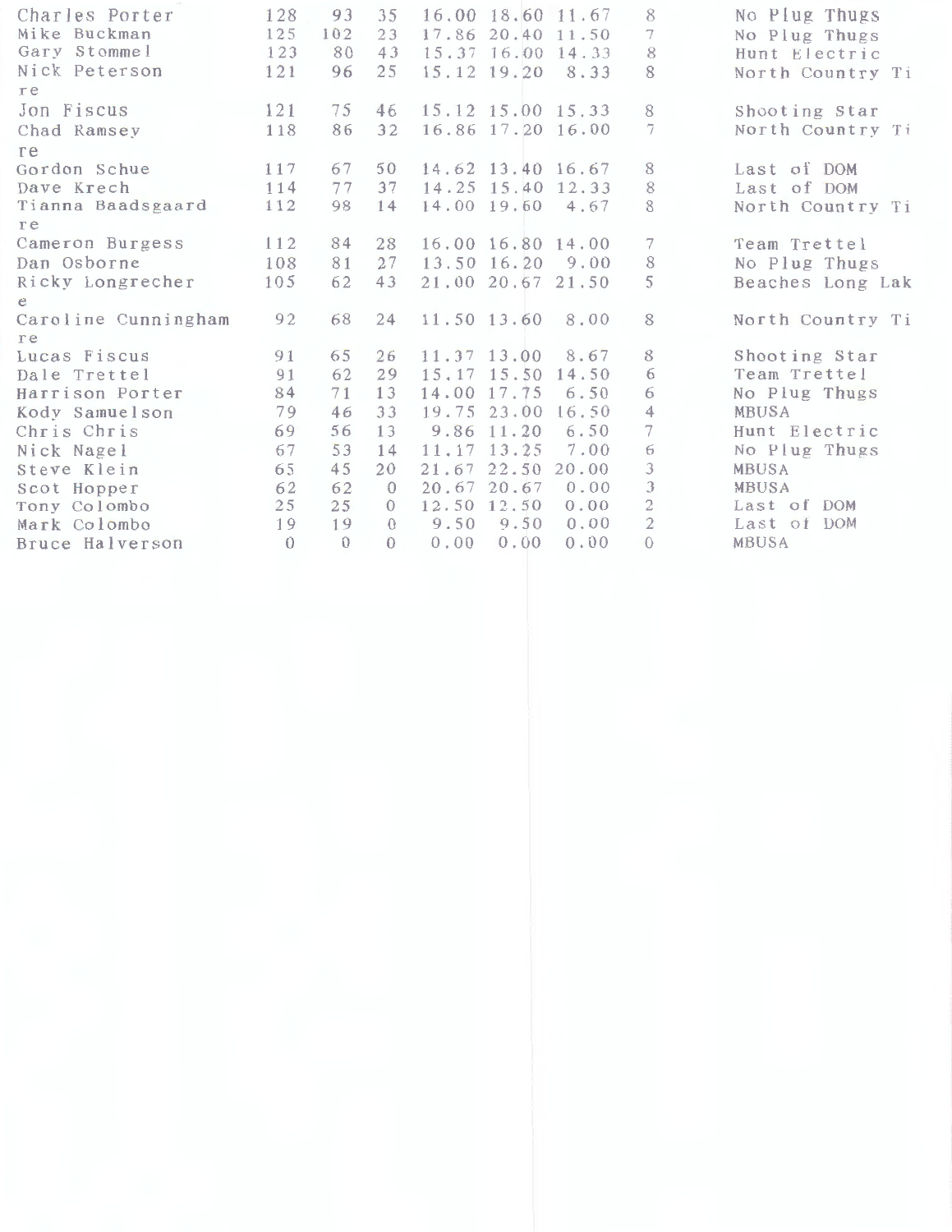| Charles Porter      | 128      | 93       | 35       |             | 16.00 18.60 11.67 |       | 8                        | No Plug Thugs    |
|---------------------|----------|----------|----------|-------------|-------------------|-------|--------------------------|------------------|
| Mike Buckman        | 125      | 102      | 23       |             | 17.86 20.40 11.50 |       | 7                        | No Plug Thugs    |
| Gary Stommel        | 123      | 80       | 43       |             | 15.37 16.00 14.33 |       | 8                        | Hunt Electric    |
| Nick Peterson       | 121      | 96       | 25       |             | 15.12 19.20       | 8.33  | 8                        | North Country Ti |
| re                  |          |          |          |             |                   |       |                          |                  |
| Jon Fiscus          | 121      | 75       | 46       |             | 15.12 15.00 15.33 |       | 8                        | Shooting Star    |
| Chad Ramsey         | 118      | 86       | 32       |             | 16.86 17.20 16.00 |       | 7                        | North Country Ti |
| re                  |          |          |          |             |                   |       |                          |                  |
| Gordon Schue        | 117      | 67       | 50       |             | 14.62 13.40 16.67 |       | 8                        | Last of DOM      |
| Dave Krech          | 114      | 77       | 37       |             | 14.25 15.40 12.33 |       | 8                        | Last of DOM      |
| Tianna Baadsgaard   | 112      | 98       | 14       |             | 14.00 19.60 4.67  |       | 8                        | North Country Ti |
| re                  |          |          |          |             |                   |       |                          |                  |
| Cameron Burgess     | 112      | 84       | 28       |             | 16.00 16.80 14.00 |       | 7                        | Team Trettel     |
| Dan Osborne         | 108      | 81       | 27       |             | 13.50 16.20       | 9.00  | 8                        | No Plug Thugs    |
| Ricky Longrecher    | 105      | 62       | 43       |             | 21,00 20,67 21.50 |       | 5                        | Beaches Long Lak |
| e                   |          |          |          |             |                   |       |                          |                  |
| Caroline Cunningham | 92       | 68       | 24       |             | 11.50 13.60       | 8.00  | 8                        | North Country Ti |
| re                  |          |          |          |             |                   |       |                          |                  |
| Lucas Fiscus        | 91       | 65       | 26       |             | 11.37 13.00       | 8.67  | 8                        | Shooting Star    |
| Dale Trettel        | 91       | 62       | 29       |             | $15.17$ $15.50$   | 14.50 | 6                        | Team Trettel     |
| Harrison Porter     | 84       | 71       | 13       | 14.00 17.75 |                   | 6.50  | 6                        | No Plug Thugs    |
| Kody Samuelson      | 79       | 46       | 33       |             | 19.75 23.00       | 16.50 | 4                        | MBUSA            |
| Chris Chris         | 69       | 56       | 13       |             | 9.86 11.20        | 6.50  | $\overline{\phantom{a}}$ | Hunt Electric    |
| Nick Nagel          | 67       | 53       | 14       |             | 11.17 13.25       | 7.00  | 6                        | No Plug Thugs    |
| Steve Klein         | 65       | 45       | 20       | 21.67       | 22.50             | 20.00 | 3                        | MBUSA            |
| Scot Hopper         | 62       | 62       | $\Omega$ |             | 20.67 20.67       | 0.00  | 3                        | <b>MBUSA</b>     |
| Tony Colombo        | 25       | 25       | $\Omega$ |             | 12.50 12.50       | 0.00  | $\overline{c}$           | Last of DOM      |
| Mark Colombo        | 19       | 19       | $\Omega$ | 9.50        | 9.50              | 0.00  | $\overline{2}$           | Last of DOM      |
| Bruce Halverson     | $\theta$ | $\Omega$ | $\Omega$ | 0.00        | 0.00              | 0.00  | $\theta$                 | MBUSA            |